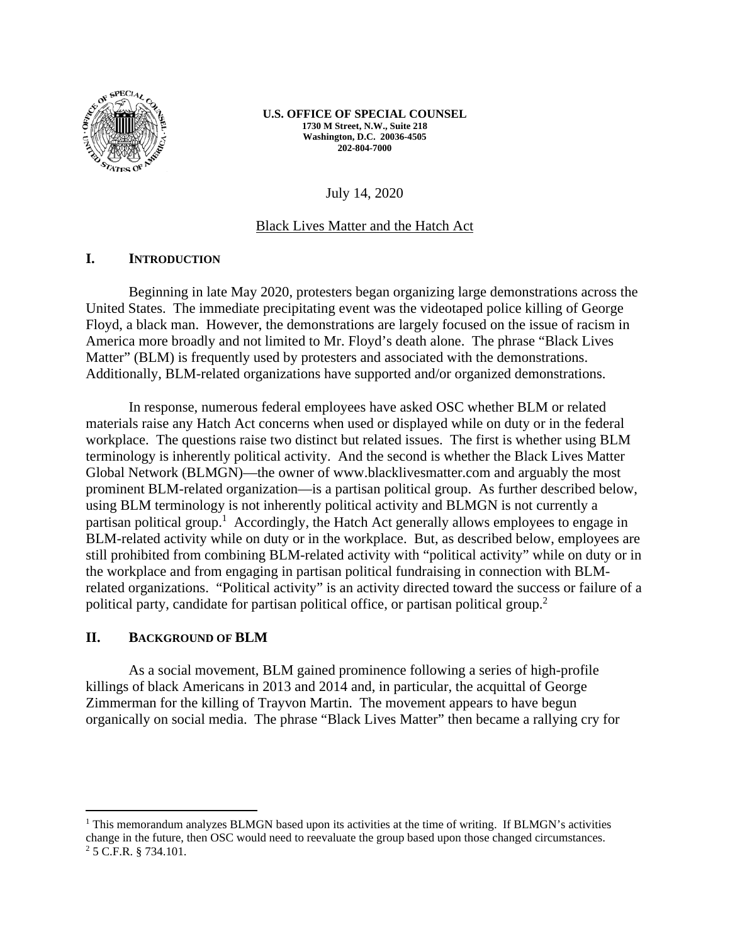

**U.S. OFFICE OF SPECIAL COUNSEL 1730 M Street, N.W., Suite 218 Washington, D.C. 20036-4505 202-804-7000** 

July 14, 2020

### Black Lives Matter and the Hatch Act

### **I. INTRODUCTION**

Beginning in late May 2020, protesters began organizing large demonstrations across the United States. The immediate precipitating event was the videotaped police killing of George Floyd, a black man. However, the demonstrations are largely focused on the issue of racism in America more broadly and not limited to Mr. Floyd's death alone. The phrase "Black Lives Matter" (BLM) is frequently used by protesters and associated with the demonstrations. Additionally, BLM-related organizations have supported and/or organized demonstrations.

In response, numerous federal employees have asked OSC whether BLM or related materials raise any Hatch Act concerns when used or displayed while on duty or in the federal workplace. The questions raise two distinct but related issues. The first is whether using BLM terminology is inherently political activity. And the second is whether the Black Lives Matter Global Network (BLMGN)—the owner of www.blacklivesmatter.com and arguably the most prominent BLM-related organization—is a partisan political group. As further described below, using BLM terminology is not inherently political activity and BLMGN is not currently a partisan political group.<sup>1</sup> Accordingly, the Hatch Act generally allows employees to engage in BLM-related activity while on duty or in the workplace. But, as described below, employees are still prohibited from combining BLM-related activity with "political activity" while on duty or in the workplace and from engaging in partisan political fundraising in connection with BLMrelated organizations. "Political activity" is an activity directed toward the success or failure of a political party, candidate for partisan political office, or partisan political group.<sup>2</sup>

#### **II. BACKGROUND OF BLM**

As a social movement, BLM gained prominence following a series of high-profile killings of black Americans in 2013 and 2014 and, in particular, the acquittal of George Zimmerman for the killing of Trayvon Martin. The movement appears to have begun organically on social media. The phrase "Black Lives Matter" then became a rallying cry for

<sup>&</sup>lt;sup>1</sup> This memorandum analyzes BLMGN based upon its activities at the time of writing. If BLMGN's activities change in the future, then OSC would need to reevaluate the group based upon those changed circumstances. 2 5 C.F.R. § 734.101.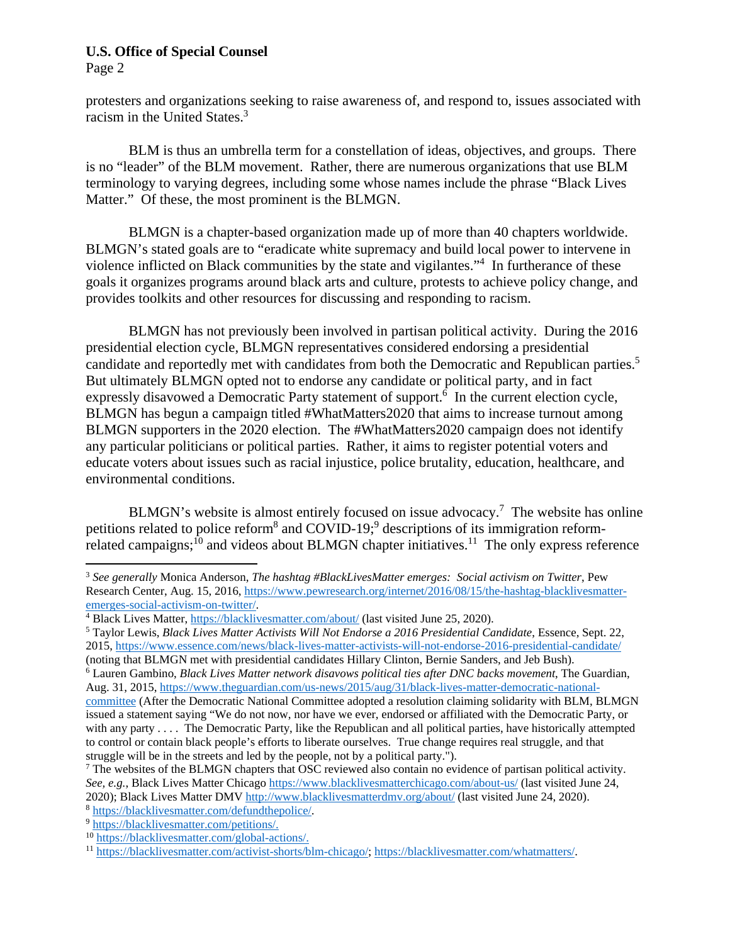Page 2

protesters and organizations seeking to raise awareness of, and respond to, issues associated with racism in the United States.<sup>3</sup>

BLM is thus an umbrella term for a constellation of ideas, objectives, and groups. There is no "leader" of the BLM movement. Rather, there are numerous organizations that use BLM terminology to varying degrees, including some whose names include the phrase "Black Lives Matter." Of these, the most prominent is the BLMGN.

BLMGN is a chapter-based organization made up of more than 40 chapters worldwide. BLMGN's stated goals are to "eradicate white supremacy and build local power to intervene in violence inflicted on Black communities by the state and vigilantes."<sup>4</sup> In furtherance of these goals it organizes programs around black arts and culture, protests to achieve policy change, and provides toolkits and other resources for discussing and responding to racism.

BLMGN has not previously been involved in partisan political activity. During the 2016 presidential election cycle, BLMGN representatives considered endorsing a presidential candidate and reportedly met with candidates from both the Democratic and Republican parties.<sup>5</sup> But ultimately BLMGN opted not to endorse any candidate or political party, and in fact expressly disavowed a Democratic Party statement of support.<sup>6</sup> In the current election cycle, BLMGN has begun a campaign titled #WhatMatters2020 that aims to increase turnout among BLMGN supporters in the 2020 election. The #WhatMatters2020 campaign does not identify any particular politicians or political parties. Rather, it aims to register potential voters and educate voters about issues such as racial injustice, police brutality, education, healthcare, and environmental conditions.

BLMGN's website is almost entirely focused on issue advocacy.<sup>7</sup> The website has online petitions related to police reform<sup>8</sup> and COVID-19;<sup>9</sup> descriptions of its immigration reformrelated campaigns; $^{10}$  and videos about BLMGN chapter initiatives.<sup>11</sup> The only express reference

to control or contain black people's efforts to liberate ourselves. True change requires real struggle, and that struggle will be in the streets and led by the people, not by a political party.").

<sup>3</sup> *See generally* Monica Anderson, *The hashtag #BlackLivesMatter emerges: Social activism on Twitter*, Pew Research Center, Aug. 15, 2016, https://www.pewresearch.org/internet/2016/08/15/the-hashtag-blacklivesmatteremerges-social-activism-on-twitter/. 4

<sup>&</sup>lt;sup>4</sup> Black Lives Matter, https://blacklivesmatter.com/about/ (last visited June 25, 2020).

Taylor Lewis, *Black Lives Matter Activists Will Not Endorse a 2016 Presidential Candidate*, Essence, Sept. 22, 2015, https://www.essence.com/news/black-lives-matter-activists-will-not-endorse-2016-presidential-candidate/ (noting that BLMGN met with presidential candidates Hillary Clinton, Bernie Sanders, and Jeb Bush). 6

Lauren Gambino, *Black Lives Matter network disavows political ties after DNC backs movement*, The Guardian, Aug. 31, 2015, https://www.theguardian.com/us-news/2015/aug/31/black-lives-matter-democratic-nationalcommittee (After the Democratic National Committee adopted a resolution claiming solidarity with BLM, BLMGN issued a statement saying "We do not now, nor have we ever, endorsed or affiliated with the Democratic Party, or with any party . . . . The Democratic Party, like the Republican and all political parties, have historically attempted

<sup>&</sup>lt;sup>7</sup> The websites of the BLMGN chapters that OSC reviewed also contain no evidence of partisan political activity. *See, e.g.*, Black Lives Matter Chicago https://www.blacklivesmatterchicago.com/about-us/ (last visited June 24, 2020); Black Lives Matter DMV http://www.blacklivesmatterdmv.org/about/ (last visited June 24, 2020).<br><sup>8</sup> https://blacklivesmatter.com/defundthepolice/.<br>9 https://blacklivesmatter.com/petitions/.

<sup>10</sup> https://blacklivesmatter.com/global-actions/.

<sup>11</sup> https://blacklivesmatter.com/activist-shorts/blm-chicago/; https://blacklivesmatter.com/whatmatters/.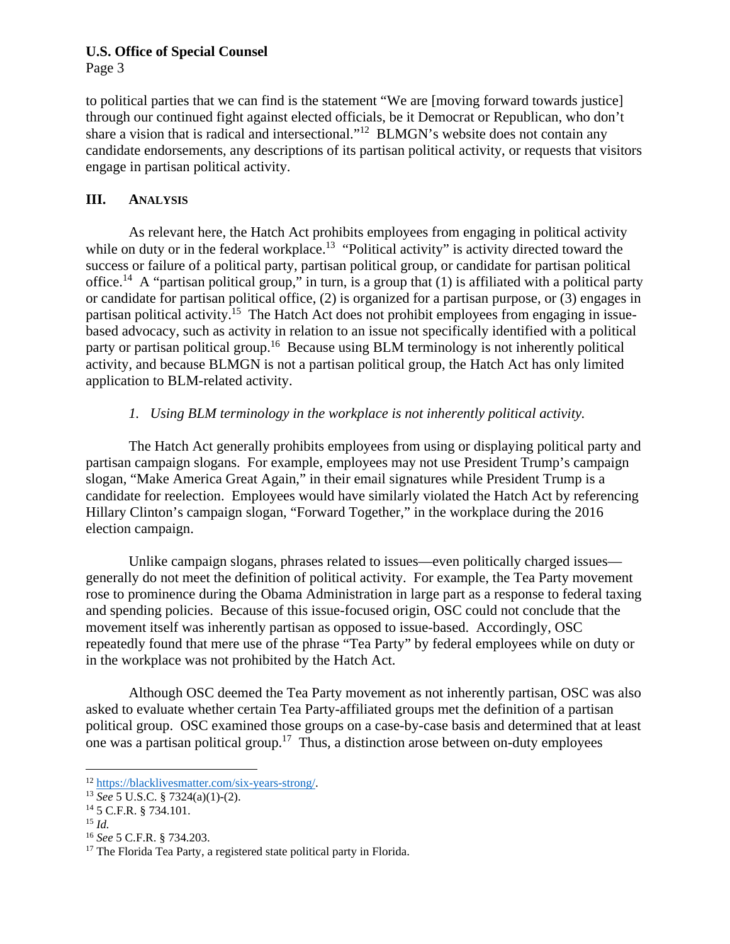Page 3

to political parties that we can find is the statement "We are [moving forward towards justice] through our continued fight against elected officials, be it Democrat or Republican, who don't share a vision that is radical and intersectional."<sup>12</sup> BLMGN's website does not contain any candidate endorsements, any descriptions of its partisan political activity, or requests that visitors engage in partisan political activity.

# **III. ANALYSIS**

As relevant here, the Hatch Act prohibits employees from engaging in political activity while on duty or in the federal workplace.<sup>13</sup> "Political activity" is activity directed toward the success or failure of a political party, partisan political group, or candidate for partisan political office.<sup>14</sup> A "partisan political group," in turn, is a group that (1) is affiliated with a political party or candidate for partisan political office, (2) is organized for a partisan purpose, or (3) engages in partisan political activity.<sup>15</sup> The Hatch Act does not prohibit employees from engaging in issuebased advocacy, such as activity in relation to an issue not specifically identified with a political party or partisan political group.<sup>16</sup> Because using BLM terminology is not inherently political activity, and because BLMGN is not a partisan political group, the Hatch Act has only limited application to BLM-related activity.

# *1. Using BLM terminology in the workplace is not inherently political activity.*

The Hatch Act generally prohibits employees from using or displaying political party and partisan campaign slogans. For example, employees may not use President Trump's campaign slogan, "Make America Great Again," in their email signatures while President Trump is a candidate for reelection. Employees would have similarly violated the Hatch Act by referencing Hillary Clinton's campaign slogan, "Forward Together," in the workplace during the 2016 election campaign.

Unlike campaign slogans, phrases related to issues—even politically charged issues generally do not meet the definition of political activity. For example, the Tea Party movement rose to prominence during the Obama Administration in large part as a response to federal taxing and spending policies. Because of this issue-focused origin, OSC could not conclude that the movement itself was inherently partisan as opposed to issue-based. Accordingly, OSC repeatedly found that mere use of the phrase "Tea Party" by federal employees while on duty or in the workplace was not prohibited by the Hatch Act.

Although OSC deemed the Tea Party movement as not inherently partisan, OSC was also asked to evaluate whether certain Tea Party-affiliated groups met the definition of a partisan political group. OSC examined those groups on a case-by-case basis and determined that at least one was a partisan political group.<sup>17</sup> Thus, a distinction arose between on-duty employees

<sup>12</sup> https://blacklivesmatter.com/six-years-strong/. 13 *See* 5 U.S.C. § 7324(a)(1)-(2). 14 5 C.F.R. § 734.101.

<sup>&</sup>lt;sup>15</sup> *Id.*<br><sup>16</sup> *See* 5 C.F.R. § 734.203.

<sup>&</sup>lt;sup>17</sup> The Florida Tea Party, a registered state political party in Florida.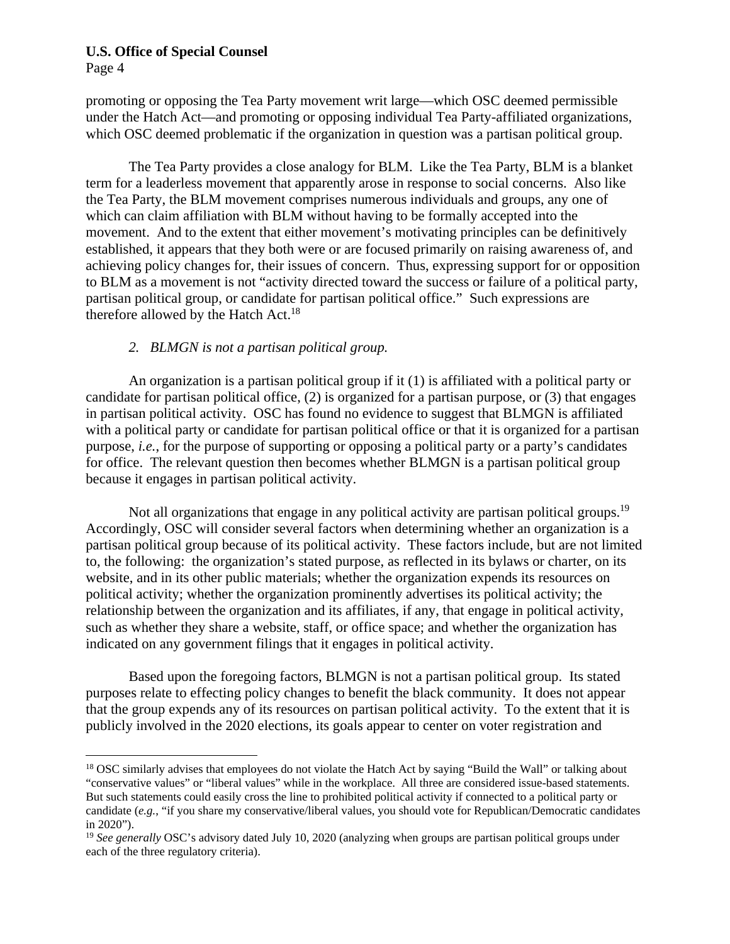Page 4

promoting or opposing the Tea Party movement writ large—which OSC deemed permissible under the Hatch Act—and promoting or opposing individual Tea Party-affiliated organizations, which OSC deemed problematic if the organization in question was a partisan political group.

 The Tea Party provides a close analogy for BLM. Like the Tea Party, BLM is a blanket term for a leaderless movement that apparently arose in response to social concerns. Also like the Tea Party, the BLM movement comprises numerous individuals and groups, any one of which can claim affiliation with BLM without having to be formally accepted into the movement. And to the extent that either movement's motivating principles can be definitively established, it appears that they both were or are focused primarily on raising awareness of, and achieving policy changes for, their issues of concern. Thus, expressing support for or opposition to BLM as a movement is not "activity directed toward the success or failure of a political party, partisan political group, or candidate for partisan political office." Such expressions are therefore allowed by the Hatch Act.<sup>18</sup>

# *2. BLMGN is not a partisan political group.*

An organization is a partisan political group if it (1) is affiliated with a political party or candidate for partisan political office, (2) is organized for a partisan purpose, or (3) that engages in partisan political activity. OSC has found no evidence to suggest that BLMGN is affiliated with a political party or candidate for partisan political office or that it is organized for a partisan purpose, *i.e.*, for the purpose of supporting or opposing a political party or a party's candidates for office. The relevant question then becomes whether BLMGN is a partisan political group because it engages in partisan political activity.

Not all organizations that engage in any political activity are partisan political groups.<sup>19</sup> Accordingly, OSC will consider several factors when determining whether an organization is a partisan political group because of its political activity. These factors include, but are not limited to, the following: the organization's stated purpose, as reflected in its bylaws or charter, on its website, and in its other public materials; whether the organization expends its resources on political activity; whether the organization prominently advertises its political activity; the relationship between the organization and its affiliates, if any, that engage in political activity, such as whether they share a website, staff, or office space; and whether the organization has indicated on any government filings that it engages in political activity.

Based upon the foregoing factors, BLMGN is not a partisan political group. Its stated purposes relate to effecting policy changes to benefit the black community. It does not appear that the group expends any of its resources on partisan political activity. To the extent that it is publicly involved in the 2020 elections, its goals appear to center on voter registration and

<sup>&</sup>lt;sup>18</sup> OSC similarly advises that employees do not violate the Hatch Act by saying "Build the Wall" or talking about "conservative values" or "liberal values" while in the workplace. All three are considered issue-based statements. But such statements could easily cross the line to prohibited political activity if connected to a political party or candidate (*e.g.*, "if you share my conservative/liberal values, you should vote for Republican/Democratic candidates in 2020").

<sup>&</sup>lt;sup>19</sup> See generally OSC's advisory dated July 10, 2020 (analyzing when groups are partisan political groups under each of the three regulatory criteria).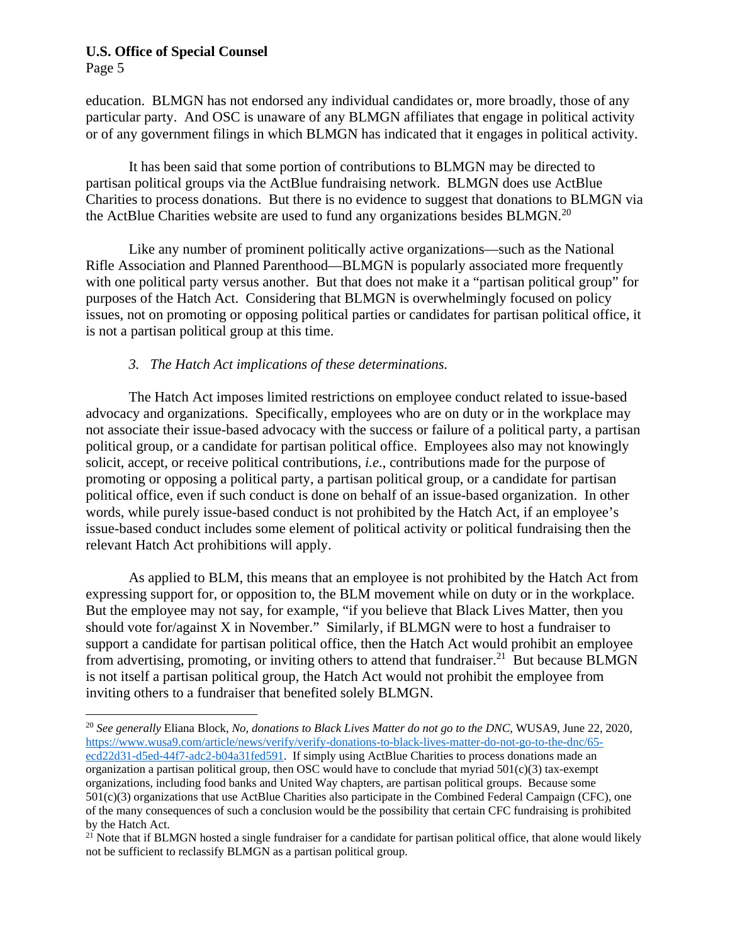Page 5

education. BLMGN has not endorsed any individual candidates or, more broadly, those of any particular party. And OSC is unaware of any BLMGN affiliates that engage in political activity or of any government filings in which BLMGN has indicated that it engages in political activity.

It has been said that some portion of contributions to BLMGN may be directed to partisan political groups via the ActBlue fundraising network. BLMGN does use ActBlue Charities to process donations. But there is no evidence to suggest that donations to BLMGN via the ActBlue Charities website are used to fund any organizations besides BLMGN.<sup>20</sup>

Like any number of prominent politically active organizations—such as the National Rifle Association and Planned Parenthood—BLMGN is popularly associated more frequently with one political party versus another. But that does not make it a "partisan political group" for purposes of the Hatch Act. Considering that BLMGN is overwhelmingly focused on policy issues, not on promoting or opposing political parties or candidates for partisan political office, it is not a partisan political group at this time.

# *3. The Hatch Act implications of these determinations.*

The Hatch Act imposes limited restrictions on employee conduct related to issue-based advocacy and organizations. Specifically, employees who are on duty or in the workplace may not associate their issue-based advocacy with the success or failure of a political party, a partisan political group, or a candidate for partisan political office. Employees also may not knowingly solicit, accept, or receive political contributions, *i.e.*, contributions made for the purpose of promoting or opposing a political party, a partisan political group, or a candidate for partisan political office, even if such conduct is done on behalf of an issue-based organization. In other words, while purely issue-based conduct is not prohibited by the Hatch Act, if an employee's issue-based conduct includes some element of political activity or political fundraising then the relevant Hatch Act prohibitions will apply.

As applied to BLM, this means that an employee is not prohibited by the Hatch Act from expressing support for, or opposition to, the BLM movement while on duty or in the workplace. But the employee may not say, for example, "if you believe that Black Lives Matter, then you should vote for/against X in November." Similarly, if BLMGN were to host a fundraiser to support a candidate for partisan political office, then the Hatch Act would prohibit an employee from advertising, promoting, or inviting others to attend that fundraiser.<sup>21</sup> But because BLMGN is not itself a partisan political group, the Hatch Act would not prohibit the employee from inviting others to a fundraiser that benefited solely BLMGN.

<sup>20</sup> *See generally* Eliana Block, *No, donations to Black Lives Matter do not go to the DNC*, WUSA9, June 22, 2020, https://www.wusa9.com/article/news/verify/verify-donations-to-black-lives-matter-do-not-go-to-the-dnc/65 ecd22d31-d5ed-44f7-adc2-b04a31fed591. If simply using ActBlue Charities to process donations made an organization a partisan political group, then OSC would have to conclude that myriad  $501(c)(3)$  tax-exempt organizations, including food banks and United Way chapters, are partisan political groups. Because some 501(c)(3) organizations that use ActBlue Charities also participate in the Combined Federal Campaign (CFC), one of the many consequences of such a conclusion would be the possibility that certain CFC fundraising is prohibited by the Hatch Act.

 $21$  Note that if BLMGN hosted a single fundraiser for a candidate for partisan political office, that alone would likely not be sufficient to reclassify BLMGN as a partisan political group.